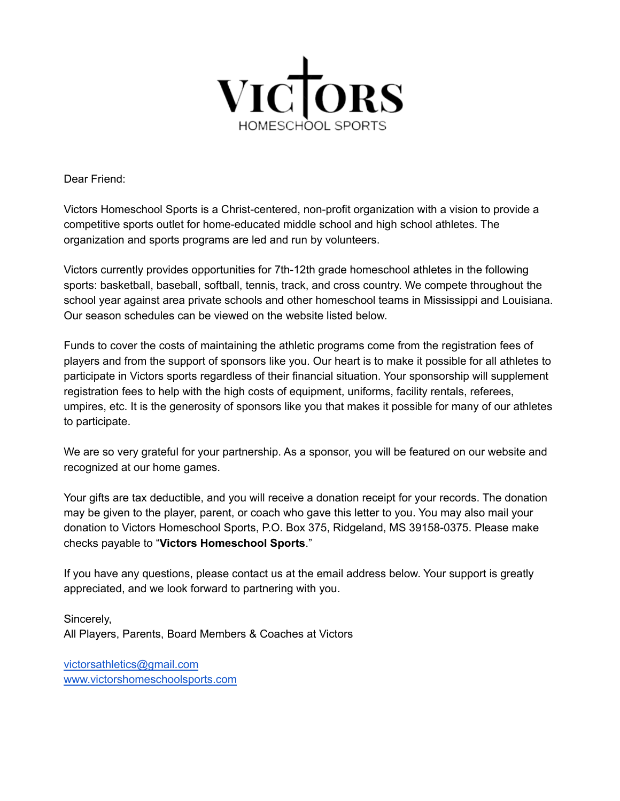

Dear Friend:

Victors Homeschool Sports is a Christ-centered, non-profit organization with a vision to provide a competitive sports outlet for home-educated middle school and high school athletes. The organization and sports programs are led and run by volunteers.

Victors currently provides opportunities for 7th-12th grade homeschool athletes in the following sports: basketball, baseball, softball, tennis, track, and cross country. We compete throughout the school year against area private schools and other homeschool teams in Mississippi and Louisiana. Our season schedules can be viewed on the website listed below.

Funds to cover the costs of maintaining the athletic programs come from the registration fees of players and from the support of sponsors like you. Our heart is to make it possible for all athletes to participate in Victors sports regardless of their financial situation. Your sponsorship will supplement registration fees to help with the high costs of equipment, uniforms, facility rentals, referees, umpires, etc. It is the generosity of sponsors like you that makes it possible for many of our athletes to participate.

We are so very grateful for your partnership. As a sponsor, you will be featured on our website and recognized at our home games.

Your gifts are tax deductible, and you will receive a donation receipt for your records. The donation may be given to the player, parent, or coach who gave this letter to you. You may also mail your donation to Victors Homeschool Sports, P.O. Box 375, Ridgeland, MS 39158-0375. Please make checks payable to "**Victors Homeschool Sports**."

If you have any questions, please contact us at the email address below. Your support is greatly appreciated, and we look forward to partnering with you.

Sincerely, All Players, Parents, Board Members & Coaches at Victors

[victorsathletics@gmail.com](mailto:victorsathletics@gmail.com) [www.victorshomeschoolsports.com](http://www.victorshomeschoolsports.com)